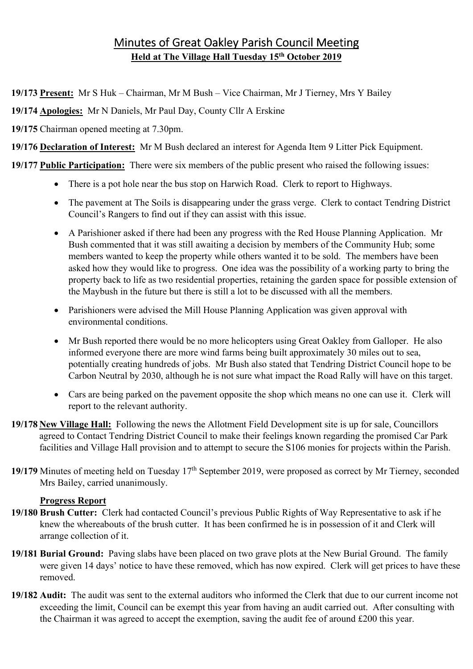# Minutes of Great Oakley Parish Council Meeting **Held at The Village Hall Tuesday 15th October 2019**

**19/173 Present:** Mr S Huk – Chairman, Mr M Bush – Vice Chairman, Mr J Tierney, Mrs Y Bailey

**19/174 Apologies:** Mr N Daniels, Mr Paul Day, County Cllr A Erskine

**19/175** Chairman opened meeting at 7.30pm.

**19/176 Declaration of Interest:** Mr M Bush declared an interest for Agenda Item 9 Litter Pick Equipment.

## **19/177 Public Participation:** There were six members of the public present who raised the following issues:

- There is a pot hole near the bus stop on Harwich Road. Clerk to report to Highways.
- The pavement at The Soils is disappearing under the grass verge. Clerk to contact Tendring District Council's Rangers to find out if they can assist with this issue.
- A Parishioner asked if there had been any progress with the Red House Planning Application. Mr Bush commented that it was still awaiting a decision by members of the Community Hub; some members wanted to keep the property while others wanted it to be sold. The members have been asked how they would like to progress. One idea was the possibility of a working party to bring the property back to life as two residential properties, retaining the garden space for possible extension of the Maybush in the future but there is still a lot to be discussed with all the members.
- Parishioners were advised the Mill House Planning Application was given approval with environmental conditions.
- Mr Bush reported there would be no more helicopters using Great Oakley from Galloper. He also informed everyone there are more wind farms being built approximately 30 miles out to sea, potentially creating hundreds of jobs. Mr Bush also stated that Tendring District Council hope to be Carbon Neutral by 2030, although he is not sure what impact the Road Rally will have on this target.
- Cars are being parked on the pavement opposite the shop which means no one can use it. Clerk will report to the relevant authority.
- **19/178 New Village Hall:** Following the news the Allotment Field Development site is up for sale, Councillors agreed to Contact Tendring District Council to make their feelings known regarding the promised Car Park facilities and Village Hall provision and to attempt to secure the S106 monies for projects within the Parish.
- **19/179** Minutes of meeting held on Tuesday 17<sup>th</sup> September 2019, were proposed as correct by Mr Tierney, seconded Mrs Bailey, carried unanimously.

### **Progress Report**

- **19/180 Brush Cutter:** Clerk had contacted Council's previous Public Rights of Way Representative to ask if he knew the whereabouts of the brush cutter. It has been confirmed he is in possession of it and Clerk will arrange collection of it.
- **19/181 Burial Ground:** Paving slabs have been placed on two grave plots at the New Burial Ground. The family were given 14 days' notice to have these removed, which has now expired. Clerk will get prices to have these removed.
- **19/182 Audit:** The audit was sent to the external auditors who informed the Clerk that due to our current income not exceeding the limit, Council can be exempt this year from having an audit carried out. After consulting with the Chairman it was agreed to accept the exemption, saving the audit fee of around £200 this year.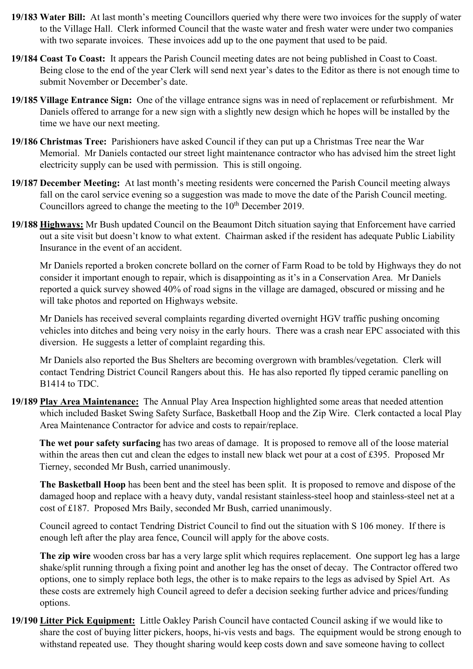- **19/183 Water Bill:** At last month's meeting Councillors queried why there were two invoices for the supply of water to the Village Hall. Clerk informed Council that the waste water and fresh water were under two companies with two separate invoices. These invoices add up to the one payment that used to be paid.
- **19/184 Coast To Coast:** It appears the Parish Council meeting dates are not being published in Coast to Coast. Being close to the end of the year Clerk will send next year's dates to the Editor as there is not enough time to submit November or December's date.
- **19/185 Village Entrance Sign:** One of the village entrance signs was in need of replacement or refurbishment. Mr Daniels offered to arrange for a new sign with a slightly new design which he hopes will be installed by the time we have our next meeting.
- **19/186 Christmas Tree:** Parishioners have asked Council if they can put up a Christmas Tree near the War Memorial. Mr Daniels contacted our street light maintenance contractor who has advised him the street light electricity supply can be used with permission. This is still ongoing.
- **19/187 December Meeting:** At last month's meeting residents were concerned the Parish Council meeting always fall on the carol service evening so a suggestion was made to move the date of the Parish Council meeting. Councillors agreed to change the meeting to the  $10<sup>th</sup>$  December 2019.
- **19/188 Highways:** Mr Bush updated Council on the Beaumont Ditch situation saying that Enforcement have carried out a site visit but doesn't know to what extent. Chairman asked if the resident has adequate Public Liability Insurance in the event of an accident.

Mr Daniels reported a broken concrete bollard on the corner of Farm Road to be told by Highways they do not consider it important enough to repair, which is disappointing as it's in a Conservation Area. Mr Daniels reported a quick survey showed 40% of road signs in the village are damaged, obscured or missing and he will take photos and reported on Highways website.

 Mr Daniels has received several complaints regarding diverted overnight HGV traffic pushing oncoming vehicles into ditches and being very noisy in the early hours. There was a crash near EPC associated with this diversion. He suggests a letter of complaint regarding this.

 Mr Daniels also reported the Bus Shelters are becoming overgrown with brambles/vegetation. Clerk will contact Tendring District Council Rangers about this. He has also reported fly tipped ceramic panelling on B1414 to TDC.

**19/189 Play Area Maintenance:** The Annual Play Area Inspection highlighted some areas that needed attention which included Basket Swing Safety Surface, Basketball Hoop and the Zip Wire. Clerk contacted a local Play Area Maintenance Contractor for advice and costs to repair/replace.

**The wet pour safety surfacing** has two areas of damage. It is proposed to remove all of the loose material within the areas then cut and clean the edges to install new black wet pour at a cost of £395. Proposed Mr Tierney, seconded Mr Bush, carried unanimously.

**The Basketball Hoop** has been bent and the steel has been split. It is proposed to remove and dispose of the damaged hoop and replace with a heavy duty, vandal resistant stainless-steel hoop and stainless-steel net at a cost of £187. Proposed Mrs Baily, seconded Mr Bush, carried unanimously.

Council agreed to contact Tendring District Council to find out the situation with S 106 money. If there is enough left after the play area fence, Council will apply for the above costs.

**The zip wire** wooden cross bar has a very large split which requires replacement. One support leg has a large shake/split running through a fixing point and another leg has the onset of decay. The Contractor offered two options, one to simply replace both legs, the other is to make repairs to the legs as advised by Spiel Art. As these costs are extremely high Council agreed to defer a decision seeking further advice and prices/funding options.

**19/190 Litter Pick Equipment:** Little Oakley Parish Council have contacted Council asking if we would like to share the cost of buying litter pickers, hoops, hi-vis vests and bags. The equipment would be strong enough to withstand repeated use. They thought sharing would keep costs down and save someone having to collect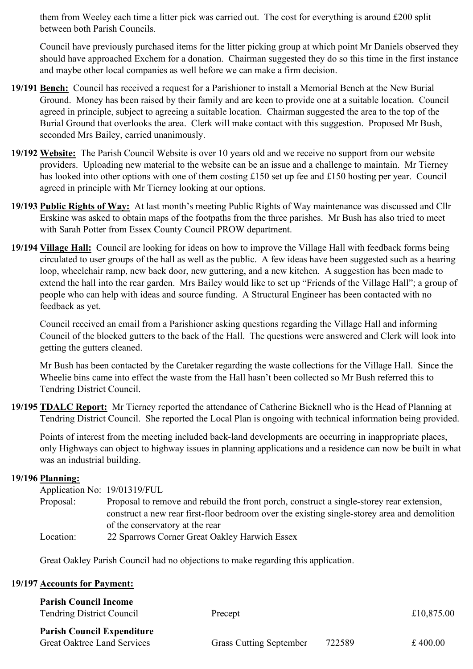them from Weeley each time a litter pick was carried out. The cost for everything is around £200 split between both Parish Councils.

Council have previously purchased items for the litter picking group at which point Mr Daniels observed they should have approached Exchem for a donation. Chairman suggested they do so this time in the first instance and maybe other local companies as well before we can make a firm decision.

- **19/191 Bench:** Council has received a request for a Parishioner to install a Memorial Bench at the New Burial Ground. Money has been raised by their family and are keen to provide one at a suitable location. Council agreed in principle, subject to agreeing a suitable location. Chairman suggested the area to the top of the Burial Ground that overlooks the area. Clerk will make contact with this suggestion. Proposed Mr Bush, seconded Mrs Bailey, carried unanimously.
- **19/192 Website:** The Parish Council Website is over 10 years old and we receive no support from our website providers. Uploading new material to the website can be an issue and a challenge to maintain. Mr Tierney has looked into other options with one of them costing £150 set up fee and £150 hosting per year. Council agreed in principle with Mr Tierney looking at our options.
- **19/193 Public Rights of Way:** At last month's meeting Public Rights of Way maintenance was discussed and Cllr Erskine was asked to obtain maps of the footpaths from the three parishes. Mr Bush has also tried to meet with Sarah Potter from Essex County Council PROW department.
- **19/194 Village Hall:** Council are looking for ideas on how to improve the Village Hall with feedback forms being circulated to user groups of the hall as well as the public. A few ideas have been suggested such as a hearing loop, wheelchair ramp, new back door, new guttering, and a new kitchen. A suggestion has been made to extend the hall into the rear garden. Mrs Bailey would like to set up "Friends of the Village Hall"; a group of people who can help with ideas and source funding. A Structural Engineer has been contacted with no feedback as yet.

Council received an email from a Parishioner asking questions regarding the Village Hall and informing Council of the blocked gutters to the back of the Hall. The questions were answered and Clerk will look into getting the gutters cleaned.

 Mr Bush has been contacted by the Caretaker regarding the waste collections for the Village Hall. Since the Wheelie bins came into effect the waste from the Hall hasn't been collected so Mr Bush referred this to Tendring District Council.

**19/195 TDALC Report:** Mr Tierney reported the attendance of Catherine Bicknell who is the Head of Planning at Tendring District Council. She reported the Local Plan is ongoing with technical information being provided.

Points of interest from the meeting included back-land developments are occurring in inappropriate places, only Highways can object to highway issues in planning applications and a residence can now be built in what was an industrial building.

### **19/196 Planning:**

| Application No: 19/01319/FUL |                                                                                              |
|------------------------------|----------------------------------------------------------------------------------------------|
| Proposal:                    | Proposal to remove and rebuild the front porch, construct a single-storey rear extension,    |
|                              | construct a new rear first-floor bedroom over the existing single-storey area and demolition |
|                              | of the conservatory at the rear                                                              |
| Location:                    | 22 Sparrows Corner Great Oakley Harwich Essex                                                |
|                              |                                                                                              |

Great Oakley Parish Council had no objections to make regarding this application.

#### **19/197 Accounts for Payment:**

| <b>Parish Council Income</b><br><b>Tendring District Council</b> | £10,875.00                     |        |          |
|------------------------------------------------------------------|--------------------------------|--------|----------|
| <b>Parish Council Expenditure</b>                                |                                |        |          |
| <b>Great Oaktree Land Services</b>                               | <b>Grass Cutting September</b> | 722589 | £ 400.00 |